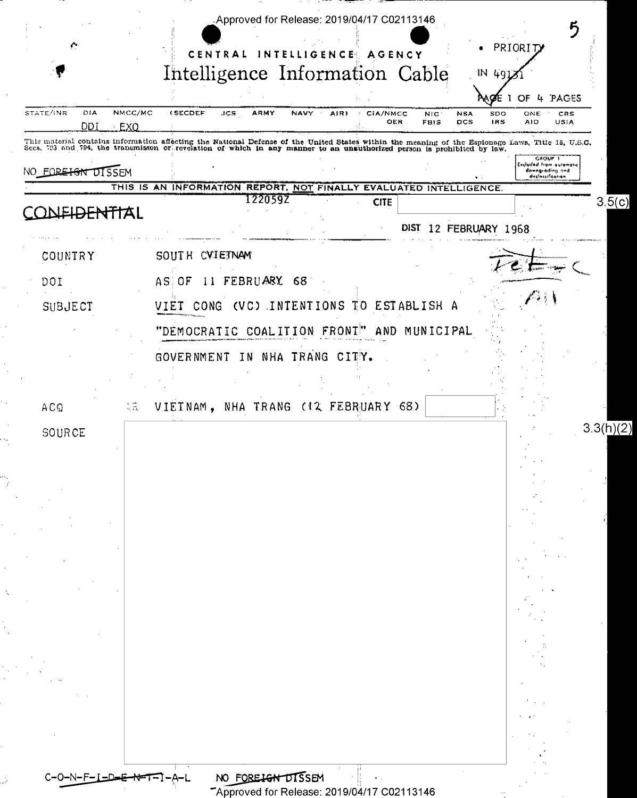|                                                                                                                                               |                                                                                                                                                                                                                                   | Intelligence Information Cable                  |                                          | OF                                                                        | PAGES       |
|-----------------------------------------------------------------------------------------------------------------------------------------------|-----------------------------------------------------------------------------------------------------------------------------------------------------------------------------------------------------------------------------------|-------------------------------------------------|------------------------------------------|---------------------------------------------------------------------------|-------------|
| NMCC/MC<br>STATE/INR<br>DIA<br>DDI<br>EXO                                                                                                     | <b>(SECDEF</b><br>ARMY<br>NAVY<br>JCS                                                                                                                                                                                             | AIR)<br>CIA/NMCC<br>$\ddot{\phantom{a}}$<br>OER | <b>NSA</b><br>NIC.<br>FBIS<br><b>DCS</b> | SDO<br>ONE<br><b>IRS</b><br>AID                                           | CRS<br>USIA |
| NO FOREIGN DISSEM                                                                                                                             | This material contains information affecting the National Defense of the United States within the meaning of the Espionage Laws, Title 18, U.S.C.<br>Secs. 793 and 794, the transmisson or revelation of which in any manner to a |                                                 |                                          | GROUP 1<br>Excluded from automatic<br>downgrading and<br>declossification |             |
|                                                                                                                                               | THIS IS AN INFORMATION REPORT, NOT FINALLY EVALUATED INTELLIGENCE.<br>122059Z                                                                                                                                                     | <b>CITE</b>                                     |                                          |                                                                           | 3.5(c)      |
|                                                                                                                                               |                                                                                                                                                                                                                                   |                                                 | DIST 12 FEBRUARY 1968                    |                                                                           |             |
| COUNTRY                                                                                                                                       | SOUTH CVIETNAM                                                                                                                                                                                                                    |                                                 |                                          |                                                                           |             |
| DOI                                                                                                                                           | 11 FEBRUARY 68<br>AS OF                                                                                                                                                                                                           |                                                 |                                          |                                                                           |             |
| SUBJECT                                                                                                                                       | VIET CONG (VC) INTENTIONS TO ESTABLISH A                                                                                                                                                                                          |                                                 |                                          |                                                                           |             |
|                                                                                                                                               | "DEMOCRATIC COALITION FRONT"                                                                                                                                                                                                      | AND                                             | MUNICIPAL                                |                                                                           |             |
|                                                                                                                                               | GOVERNMENT IN NHA TRANG CITY.                                                                                                                                                                                                     |                                                 |                                          |                                                                           |             |
|                                                                                                                                               |                                                                                                                                                                                                                                   |                                                 |                                          |                                                                           |             |
| $\stackrel{\scriptstyle <}{\scriptstyle \sim}\stackrel{\scriptstyle <}{\scriptstyle \sim}\stackrel{\scriptstyle <}{\scriptstyle \sim}$<br>ACQ | VIETNAM, NHA TRANG (12 FEBRUARY 68)                                                                                                                                                                                               |                                                 |                                          |                                                                           | 3.3(h)(2)   |
| SOURCE                                                                                                                                        |                                                                                                                                                                                                                                   |                                                 |                                          |                                                                           |             |
|                                                                                                                                               |                                                                                                                                                                                                                                   |                                                 |                                          |                                                                           |             |
|                                                                                                                                               |                                                                                                                                                                                                                                   |                                                 |                                          |                                                                           |             |
|                                                                                                                                               |                                                                                                                                                                                                                                   |                                                 |                                          |                                                                           |             |
|                                                                                                                                               |                                                                                                                                                                                                                                   |                                                 |                                          |                                                                           |             |
|                                                                                                                                               |                                                                                                                                                                                                                                   |                                                 |                                          |                                                                           |             |
|                                                                                                                                               |                                                                                                                                                                                                                                   |                                                 |                                          |                                                                           |             |
|                                                                                                                                               |                                                                                                                                                                                                                                   |                                                 |                                          |                                                                           |             |
|                                                                                                                                               |                                                                                                                                                                                                                                   |                                                 |                                          |                                                                           |             |
|                                                                                                                                               |                                                                                                                                                                                                                                   |                                                 |                                          |                                                                           |             |
|                                                                                                                                               |                                                                                                                                                                                                                                   |                                                 |                                          |                                                                           |             |
|                                                                                                                                               |                                                                                                                                                                                                                                   |                                                 |                                          |                                                                           |             |
|                                                                                                                                               | NO FOREIGN DISSEN                                                                                                                                                                                                                 |                                                 |                                          |                                                                           |             |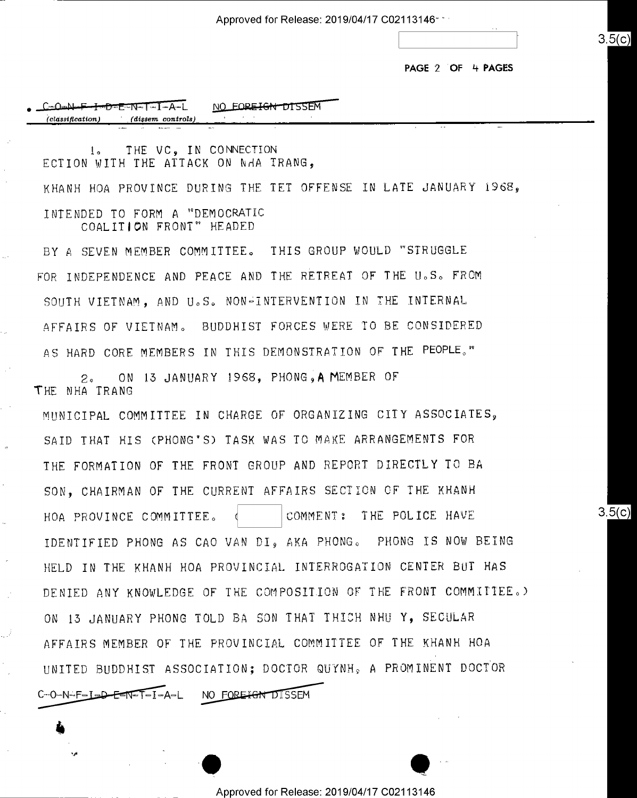Approved for Release: 2019/04/17 C02113146" "' \*

PAGE 2 OF 4 PAGES

 $3.5(c)$ 

 $3.5(c)$ 

| <del>ᡶ╍D</del> ≖E≔ѬT∼I∽A∽L<br>— O≖N⊷F    | NO.<br>55EM<br>المحافظ والمراد<br>$-1$ |
|------------------------------------------|----------------------------------------|
| $(dissem\ controls)$<br>(classification) | .<br>.<br>.                            |

1. THE VC. IN CONNECTION ECTION WITH THE ATTACK ON NHA TRANG, KHANH HOA PROVINCE DURING THE TET OFFENSE IN LATE JANUARY 1968, INTENDED TO FORM A "DEMOCRATIC COALITION FRONT" HEADED

BY A SEVEN MEMBER COMMITTEE. THIS GROUP WOULD "STRUGGLE FOR INDEPENDENCE AND PEACE AND THE RETREAT OF THE U.S. FROM SOUTH VIETNAM, AND U.S. NON-INTERVENTION IN THE INTERNAL AFFAIRS OF VIETNAM. BUDDHIST FORCES WERE TO BE CONSIDERED AS HARD CORE MEMBERS IN THIS DEMONSTRATION OF THE PEOPLE."

2. ON 13 JANUARY 1968, PHONG, A MEMBER OF THE NHA TRANS

in

'1'

MUNICIPAL COMMITTEE IN CHARGE OF ORGANIZING CITY ASSOCIATES. SAID THAT HIS (PHONG'S) TASK WAS TO MAKE ARRANGEMENTS FOR THE FORMATION OF THE FRONT GROUP AND REPORT DIRECTLY TO BA SON, CHAIRMAN OF THE CURRENT AFFAIRS SECTION OF THE KHANH HOA PROVINCE COMMITTEE,  $\frac{1}{100}$  (COMMENT: THE POLICE HAVE IDENTIFIED PHONG AS CAO VAN DI, AKA PHONG. PHONG IS NOW BEING HELD IN THE KHANH HOA PROVINCIAL INTERROGATIDN CENTER BUT HAS DENIED ANY KNOWLEDGE OF THE COMPOSITION OF THE FRONT COMMITTEE.) ON 15 JANUARY PHONG TOLD BA SON THAT THICH NHU Y, SECULAR AFFAIRS MEMBER OF THE PROVINCIAL COMMITTEE OF THE KHANH HOA UNITED BUDDHIST ASSOCIATION; DOCTOR QUTNH§ A PROMINENT DOCTOR C-O-N-F-L<del>OD ESN-T-</del>I-A-L NO FOREIGN DISSEM

Approved for Release: 2019/04/17 C02113146

' I am britten and the same of the same of the same of the same of the same of the same of the same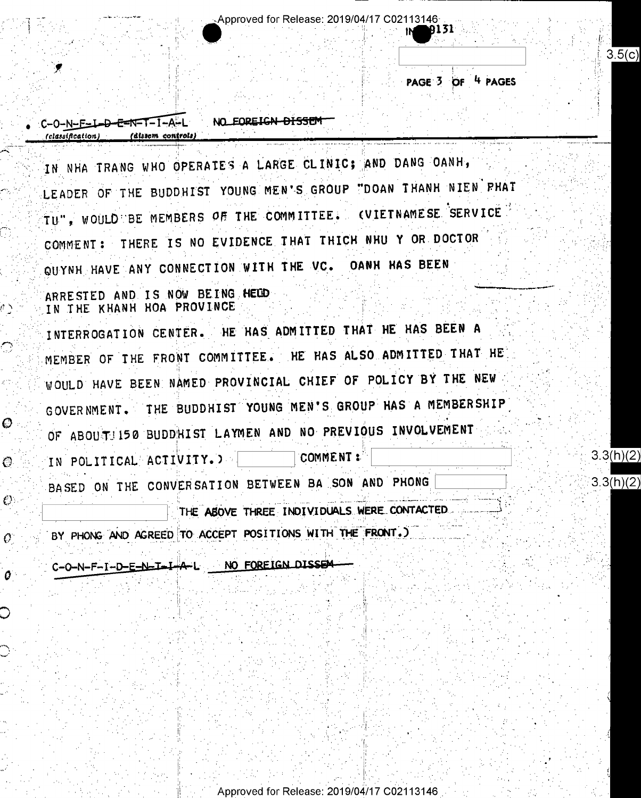Approved for Release: 2019/04/17 C02113146

NO FOREIGN DISSEM C-O-N-F-I-D-E-N-I-I-A-L

BY PHONG AND AGREED TO ACCEPT POSITIONS WITH THE FRONT.)

THE ABOVE THREE INDIVIDUALS WERE CONTACTED

BASED ON THE CONVERSATION BETWEEN BA SON AND PHONG

COMMENT: IN POLITICAL ACTIVITY. >

O

O.

 $\mathcal{O}$ 

 $O^{\circ}$ 

 $\bm{o}$ 

WOULD HAVE BEEN NAMED PROVINCIAL CHIEF OF POLICY BY THE NEW GOVERNMENT. THE BUDDHIST YOUNG MEN'S GROUP HAS A MEMBERSHIP OF ABOUTI150 BUDDHIST LAYMEN AND NO PREVIOUS INVOLVEMENT

MEMBER OF THE FRONT COMMITTEE. HE HAS ALSO ADMITTED THAT HE

ARRESTED AND IS NOW BEING HELD IN THE KHANH HOA PROVINCE INTERROGATION CENTER. HE HAS ADMITTED THAT HE HAS BEEN A

QUYNH HAVE ANY CONNECTION WITH THE VC. OANH HAS BEEN

LEADER OF THE BUDDHIST YOUNG MEN'S GROUP "DOAN THANH NIEN PHAT TU", WOULD BE MEMBERS OF THE COMMITTEE. (VIETNAMESE SERVICE COMMENT: THERE IS NO EVIDENCE THAT THICH NHU Y OR DOCTOR

C-0-N-E-L-D-E-N-T-T-A-L (classification) (dissem controls)

NO EOREIGN DISSEM

IN NHA TRANG WHO OPERATES A LARGE CLINIC; AND DANG OANH,

Approved for Release: 2019/04/17 C02113146

PAGE 3 OF 4 PAGES

131

 $3.5(c)$ 

 $3.3(h)(2)$  $3.3(h)(2)$